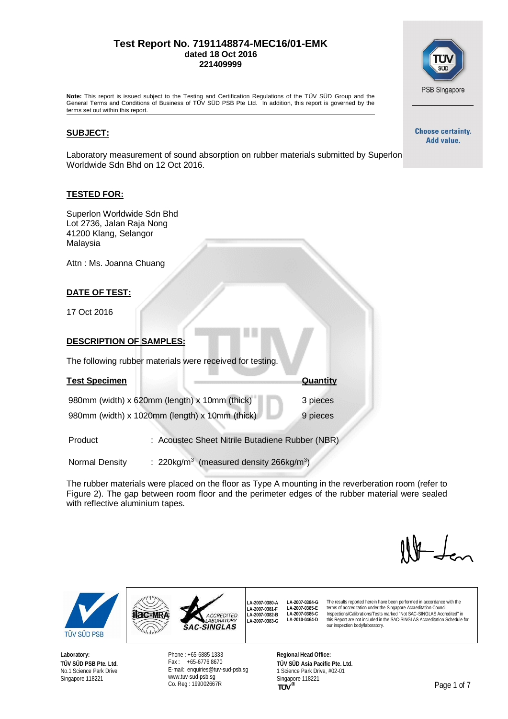#### **Test Report No. 7191148874-MEC16/01-EMK dated 18 Oct 2016 221409999**



**Note:** This report is issued subject to the Testing and Certification Regulations of the TÜV SÜD Group and the General Terms and Conditions of Business of TÜV SÜD PSB Pte Ltd. In addition, this report is governed by the terms set out within this report.

#### **SUBJECT:**

Laboratory measurement of sound absorption on rubber materials submitted by Superlon Worldwide Sdn Bhd on 12 Oct 2016.

#### **TESTED FOR:**

| Superlon Worldwide Sdn Bhd<br>Lot 2736, Jalan Raja Nong<br>41200 Klang, Selangor<br>Malaysia |                                                                 |                                               |  |
|----------------------------------------------------------------------------------------------|-----------------------------------------------------------------|-----------------------------------------------|--|
| Attn: Ms. Joanna Chuang                                                                      |                                                                 |                                               |  |
| <u>DATE OF TEST:</u>                                                                         |                                                                 |                                               |  |
| 17 Oct 2016                                                                                  |                                                                 |                                               |  |
| DESCRIPTION OF SAMPLES:                                                                      |                                                                 |                                               |  |
|                                                                                              | The following rubber materials were received for testing.       |                                               |  |
| <u>Test Specimen</u>                                                                         |                                                                 | Quantity                                      |  |
| 980mm (width) x 620mm (length) x 10mm (thick)                                                |                                                                 | 3 pieces                                      |  |
| 980mm (width) x 1020mm (length) x 10mm (thick)                                               |                                                                 | 9 pieces                                      |  |
| Product                                                                                      |                                                                 | Acoustec Sheet Nitrile Butadiene Rubber (NBR) |  |
| Normal Density                                                                               | : 220kg/m <sup>3</sup> (measured density 266kg/m <sup>3</sup> ) |                                               |  |

The rubber materials were placed on the floor as Type A mounting in the reverberation room (refer to Figure 2). The gap between room floor and the perimeter edges of the rubber material were sealed with reflective aluminium tapes.

> **LA-2007-0380-A LA-2007-0381-F LA-2007-0382-B LA-2007-0383-G**

The results reported herein have been performed in accordance with the terms of accreditation under the Singapore Accreditation Council. Inspections/Calibrations/Tests marked "Not SAC-SINGLAS Accredited" in this Report are not included in the SAC-SINGLAS Accreditation Schedule for

our inspection body/laboratory.



**Hac-MRA** 

Wilalah

**Laboratory: TÜV SÜD PSB Pte. Ltd.** No.1 Science Park Drive Singapore 118221

Phone : +65-6885 1333 Fax : +65-6776 8670 E-mail: [enquiries@tuv-sud-psb.sg](mailto:enquiries@tuv-sud-psb.sg) [www.tuv-sud-psb.sg](http://www.tuv-sud-psb.sg/) Co. Reg : 199002667R

ACCREDITED<br>LABORATORY **SAC-SINGLAS** 

> **Regional Head Office: TÜV SÜD Asia Pacific Pte. Ltd.** 1 Science Park Drive, #02-01 Singapore 118221<br>TUV<sup>®</sup>

**LA-2007-0384-G LA-2007-0385-E LA-2007-0386-C LA-2010-0464-D**

**Choose certainty.** Add value.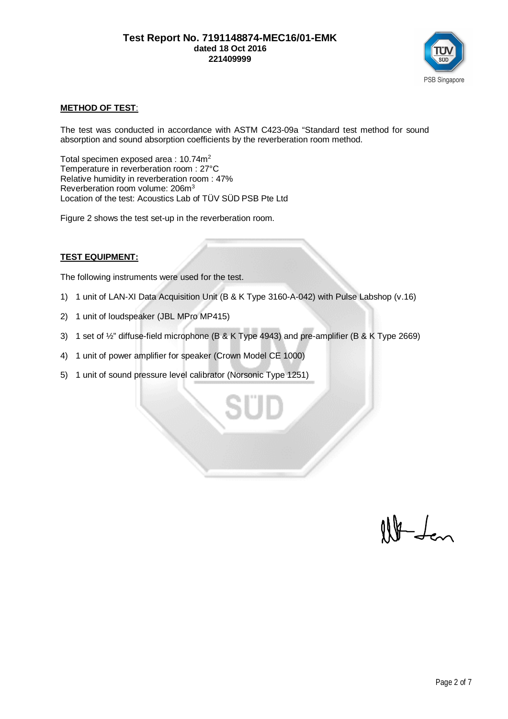

## **METHOD OF TEST**:

The test was conducted in accordance with ASTM C423-09a "Standard test method for sound absorption and sound absorption coefficients by the reverberation room method.

Total specimen exposed area : 10.74m<sup>2</sup> Temperature in reverberation room : 27°C Relative humidity in reverberation room : 47% Reverberation room volume: 206m<sup>3</sup> Location of the test: Acoustics Lab of TÜV SÜD PSB Pte Ltd

Figure 2 shows the test set-up in the reverberation room.

### **TEST EQUIPMENT:**

The following instruments were used for the test.

- 1) 1 unit of LAN-XI Data Acquisition Unit (B & K Type 3160-A-042) with Pulse Labshop (v.16)
- 2) 1 unit of loudspeaker (JBL MPro MP415)
- 3) 1 set of ½" diffuse-field microphone (B & K Type 4943) and pre-amplifier (B & K Type 2669)
- 4) 1 unit of power amplifier for speaker (Crown Model CE 1000)
- 5) 1 unit of sound pressure level calibrator (Norsonic Type 1251)

 $H$  dem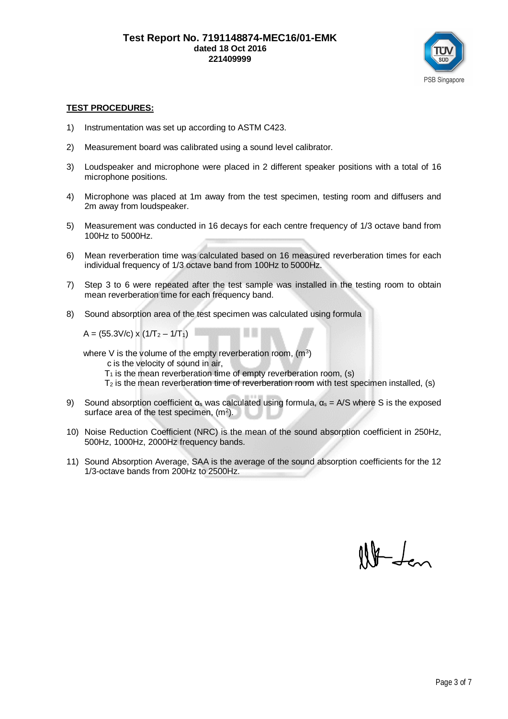

#### **TEST PROCEDURES:**

- 1) Instrumentation was set up according to ASTM C423.
- 2) Measurement board was calibrated using a sound level calibrator.
- 3) Loudspeaker and microphone were placed in 2 different speaker positions with a total of 16 microphone positions.
- 4) Microphone was placed at 1m away from the test specimen, testing room and diffusers and 2m away from loudspeaker.
- 5) Measurement was conducted in 16 decays for each centre frequency of 1/3 octave band from 100Hz to 5000Hz.
- 6) Mean reverberation time was calculated based on 16 measured reverberation times for each individual frequency of 1/3 octave band from 100Hz to 5000Hz.
- 7) Step 3 to 6 were repeated after the test sample was installed in the testing room to obtain mean reverberation time for each frequency band.
- 8) Sound absorption area of the test specimen was calculated using formula

 $A = (55.3 \text{V/c}) \times (1/\text{T}_2 - 1/\text{T}_1)$ 

where V is the volume of the empty reverberation room,  $(m^3)$ 

c is the velocity of sound in air,

- $T_1$  is the mean reverberation time of empty reverberation room, (s)
- $T<sub>2</sub>$  is the mean reverberation time of reverberation room with test specimen installed, (s)
- 9) Sound absorption coefficient  $\alpha_s$  was calculated using formula,  $\alpha_s = A/S$  where S is the exposed surface area of the test specimen,  $(m<sup>2</sup>)$ .
- 10) Noise Reduction Coefficient (NRC) is the mean of the sound absorption coefficient in 250Hz, 500Hz, 1000Hz, 2000Hz frequency bands.
- 11) Sound Absorption Average, SAA is the average of the sound absorption coefficients for the 12 1/3-octave bands from 200Hz to 2500Hz.

 $\mathbb{R}$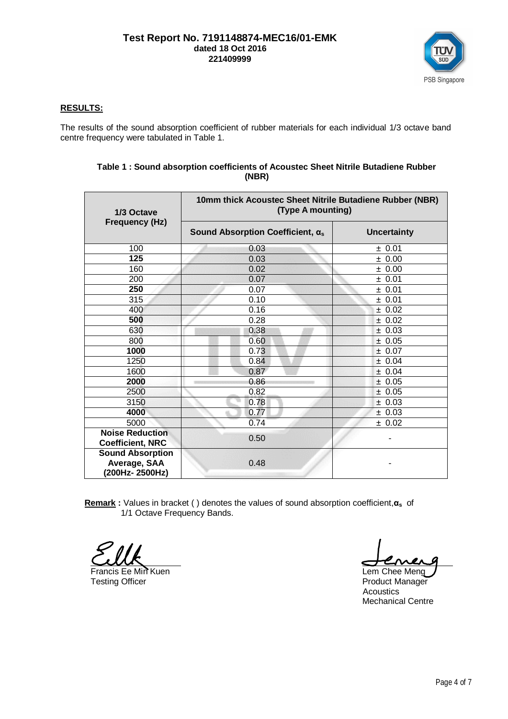

## **RESULTS:**

The results of the sound absorption coefficient of rubber materials for each individual 1/3 octave band centre frequency were tabulated in Table 1.

| 1/3 Octave<br><b>Frequency (Hz)</b>                       | 10mm thick Acoustec Sheet Nitrile Butadiene Rubber (NBR)<br>(Type A mounting) |                    |  |
|-----------------------------------------------------------|-------------------------------------------------------------------------------|--------------------|--|
|                                                           | Sound Absorption Coefficient, $\alpha_s$                                      | <b>Uncertainty</b> |  |
| 100                                                       | 0.03                                                                          | ± 0.01             |  |
| 125                                                       | 0.03                                                                          | ± 0.00             |  |
| 160                                                       | 0.02                                                                          | ± 0.00             |  |
| 200                                                       | 0.07                                                                          | ± 0.01             |  |
| 250                                                       | 0.07                                                                          | ± 0.01             |  |
| 315                                                       | 0.10                                                                          | ± 0.01             |  |
| 400                                                       | 0.16                                                                          | ± 0.02             |  |
| 500                                                       | 0.28                                                                          | ± 0.02             |  |
| 630                                                       | 0.38                                                                          | ± 0.03             |  |
| 800                                                       | 0.60                                                                          | ± 0.05             |  |
| 1000                                                      | 0.73                                                                          | ± 0.07             |  |
| 1250                                                      | 0.84                                                                          | ± 0.04             |  |
| 1600                                                      | 0.87                                                                          | ± 0.04             |  |
| 2000                                                      | 0.86                                                                          | ± 0.05             |  |
| 2500                                                      | 0.82                                                                          | ± 0.05             |  |
| 3150                                                      | 0.78                                                                          | ± 0.03             |  |
| 4000                                                      | 0.77                                                                          | ± 0.03             |  |
| 5000                                                      | 0.74                                                                          | ± 0.02             |  |
| <b>Noise Reduction</b><br><b>Coefficient, NRC</b>         | 0.50                                                                          |                    |  |
| <b>Sound Absorption</b><br>Average, SAA<br>(200Hz-2500Hz) | 0.48                                                                          |                    |  |

#### **Table 1 : Sound absorption coefficients of Acoustec Sheet Nitrile Butadiene Rubber (NBR)**

**Remark**: Values in bracket () denotes the values of sound absorption coefficient,  $\alpha_s$  of 1/1 Octave Frequency Bands.

Francis Ee Min Kuen Lem Chee Meng Testing Officer **Product Manager** Product Manager

Acoustics Mechanical Centre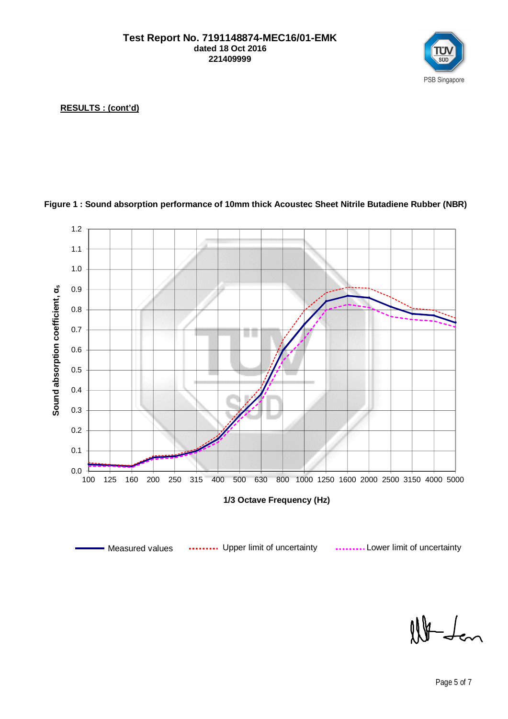

**RESULTS : (cont'd)**



# **Figure 1 : Sound absorption performance of 10mm thick Acoustec Sheet Nitrile Butadiene Rubber (NBR)**

 $10 - L$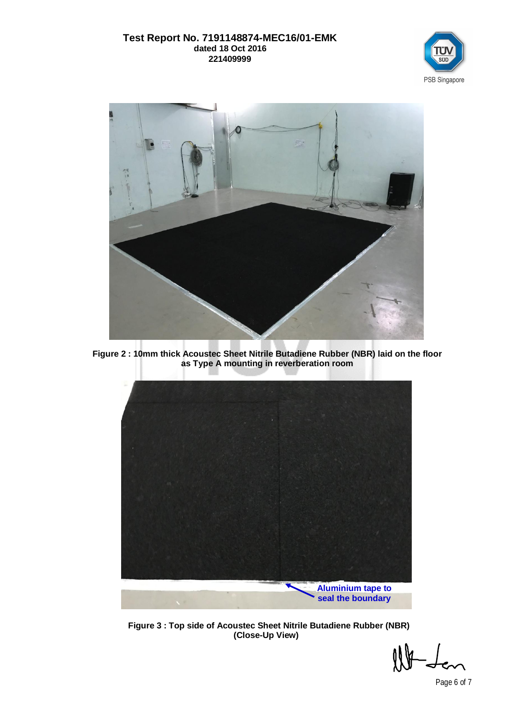## **Test Report No. 7191148874-MEC16/01-EMK dated 18 Oct 2016 221409999**





**Figure 2 : 10mm thick Acoustec Sheet Nitrile Butadiene Rubber (NBR) laid on the floor as Type A mounting in reverberation room**



**Figure 3 : Top side of Acoustec Sheet Nitrile Butadiene Rubber (NBR) (Close-Up View)**

Page 6 of 7